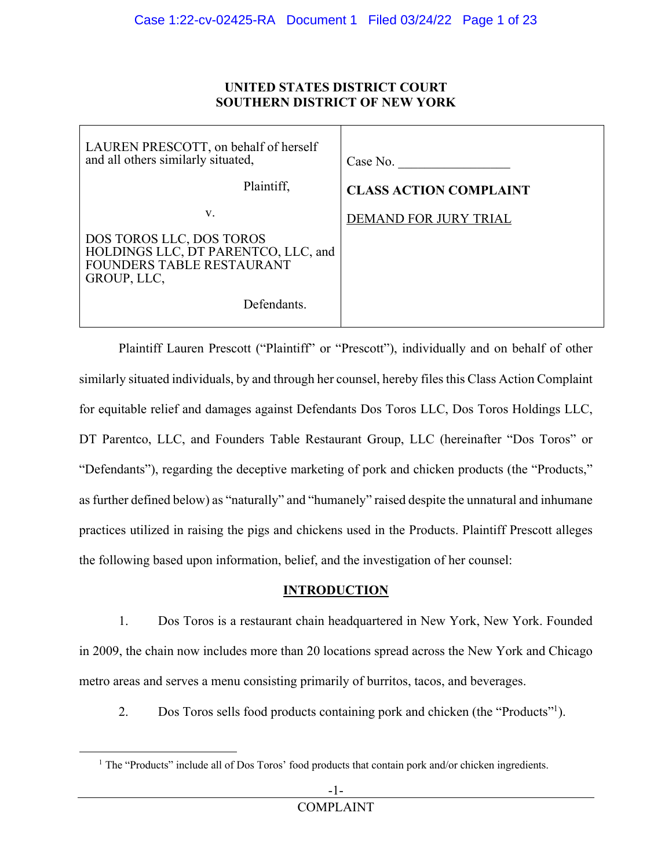### **UNITED STATES DISTRICT COURT SOUTHERN DISTRICT OF NEW YORK**

| LAUREN PRESCOTT, on behalf of herself<br>and all others similarly situated,                                        | Case No.                      |
|--------------------------------------------------------------------------------------------------------------------|-------------------------------|
| Plaintiff,                                                                                                         | <b>CLASS ACTION COMPLAINT</b> |
| V.                                                                                                                 | DEMAND FOR JURY TRIAL         |
| DOS TOROS LLC, DOS TOROS<br>HOLDINGS LLC, DT PARENTCO, LLC, and<br><b>FOUNDERS TABLE RESTAURANT</b><br>GROUP, LLC, |                               |
| Defendants.                                                                                                        |                               |

Plaintiff Lauren Prescott ("Plaintiff" or "Prescott"), individually and on behalf of other similarly situated individuals, by and through her counsel, hereby files this Class Action Complaint for equitable relief and damages against Defendants Dos Toros LLC, Dos Toros Holdings LLC, DT Parentco, LLC, and Founders Table Restaurant Group, LLC (hereinafter "Dos Toros" or "Defendants"), regarding the deceptive marketing of pork and chicken products (the "Products," as further defined below) as "naturally" and "humanely" raised despite the unnatural and inhumane practices utilized in raising the pigs and chickens used in the Products. Plaintiff Prescott alleges the following based upon information, belief, and the investigation of her counsel:

## **INTRODUCTION**

1. Dos Toros is a restaurant chain headquartered in New York, New York. Founded in 2009, the chain now includes more than 20 locations spread across the New York and Chicago metro areas and serves a menu consisting primarily of burritos, tacos, and beverages.

2. Dos Toros sells food products containing pork and chicken (the "Products"<sup>1</sup>).

<sup>&</sup>lt;sup>1</sup> The "Products" include all of Dos Toros' food products that contain pork and/or chicken ingredients.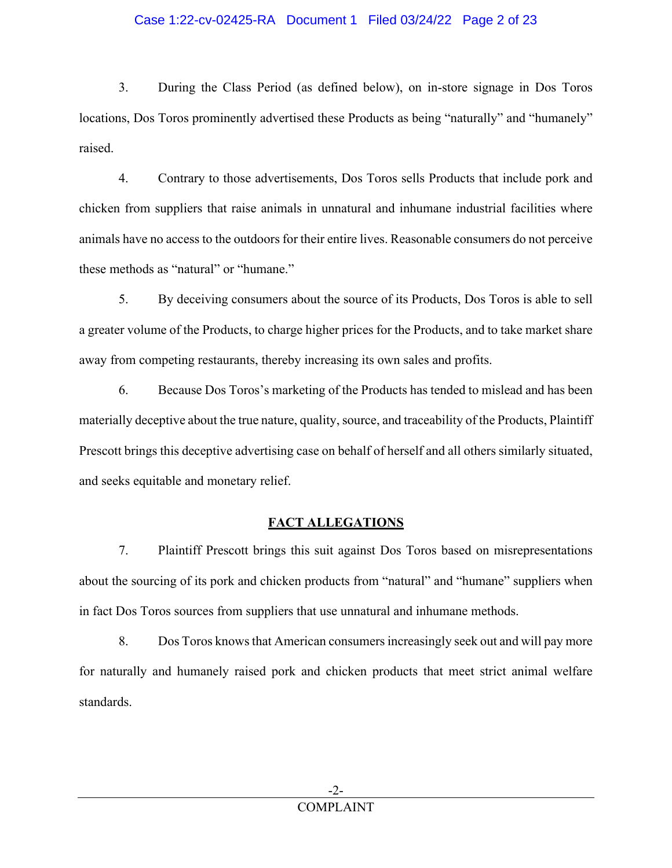### Case 1:22-cv-02425-RA Document 1 Filed 03/24/22 Page 2 of 23

3. During the Class Period (as defined below), on in-store signage in Dos Toros locations, Dos Toros prominently advertised these Products as being "naturally" and "humanely" raised.

4. Contrary to those advertisements, Dos Toros sells Products that include pork and chicken from suppliers that raise animals in unnatural and inhumane industrial facilities where animals have no access to the outdoors for their entire lives. Reasonable consumers do not perceive these methods as "natural" or "humane."

5. By deceiving consumers about the source of its Products, Dos Toros is able to sell a greater volume of the Products, to charge higher prices for the Products, and to take market share away from competing restaurants, thereby increasing its own sales and profits.

6. Because Dos Toros's marketing of the Products has tended to mislead and has been materially deceptive about the true nature, quality, source, and traceability of the Products, Plaintiff Prescott brings this deceptive advertising case on behalf of herself and all others similarly situated, and seeks equitable and monetary relief.

## **FACT ALLEGATIONS**

7. Plaintiff Prescott brings this suit against Dos Toros based on misrepresentations about the sourcing of its pork and chicken products from "natural" and "humane" suppliers when in fact Dos Toros sources from suppliers that use unnatural and inhumane methods.

8. Dos Toros knows that American consumers increasingly seek out and will pay more for naturally and humanely raised pork and chicken products that meet strict animal welfare standards.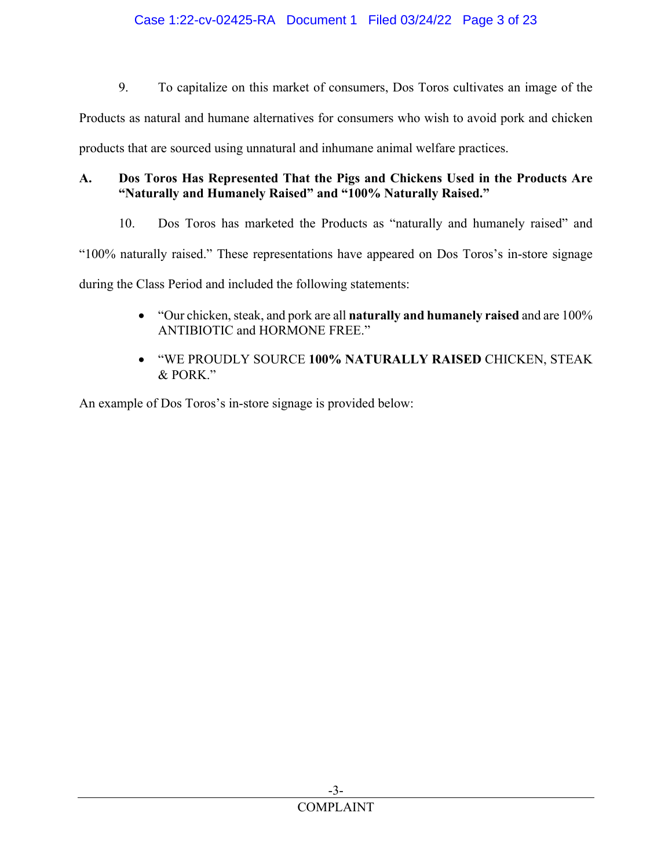9. To capitalize on this market of consumers, Dos Toros cultivates an image of the

Products as natural and humane alternatives for consumers who wish to avoid pork and chicken

products that are sourced using unnatural and inhumane animal welfare practices.

## **A. Dos Toros Has Represented That the Pigs and Chickens Used in the Products Are "Naturally and Humanely Raised" and "100% Naturally Raised."**

10. Dos Toros has marketed the Products as "naturally and humanely raised" and

"100% naturally raised." These representations have appeared on Dos Toros's in-store signage

during the Class Period and included the following statements:

- "Our chicken, steak, and pork are all **naturally and humanely raised** and are 100% ANTIBIOTIC and HORMONE FREE."
- "WE PROUDLY SOURCE **100% NATURALLY RAISED** CHICKEN, STEAK & PORK."

An example of Dos Toros's in-store signage is provided below: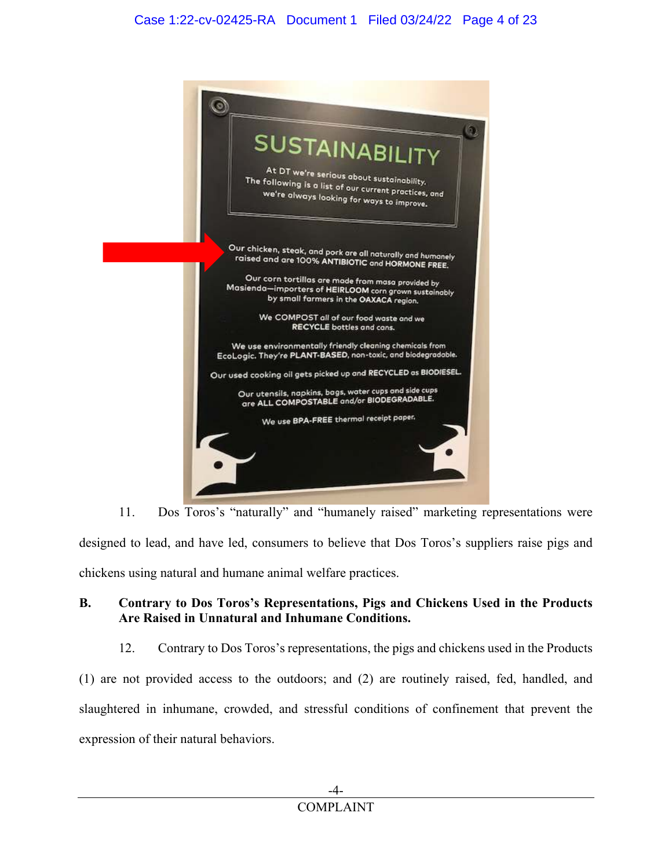

11. Dos Toros's "naturally" and "humanely raised" marketing representations were designed to lead, and have led, consumers to believe that Dos Toros's suppliers raise pigs and chickens using natural and humane animal welfare practices.

## **B. Contrary to Dos Toros's Representations, Pigs and Chickens Used in the Products Are Raised in Unnatural and Inhumane Conditions.**

12. Contrary to Dos Toros's representations, the pigs and chickens used in the Products (1) are not provided access to the outdoors; and (2) are routinely raised, fed, handled, and slaughtered in inhumane, crowded, and stressful conditions of confinement that prevent the expression of their natural behaviors.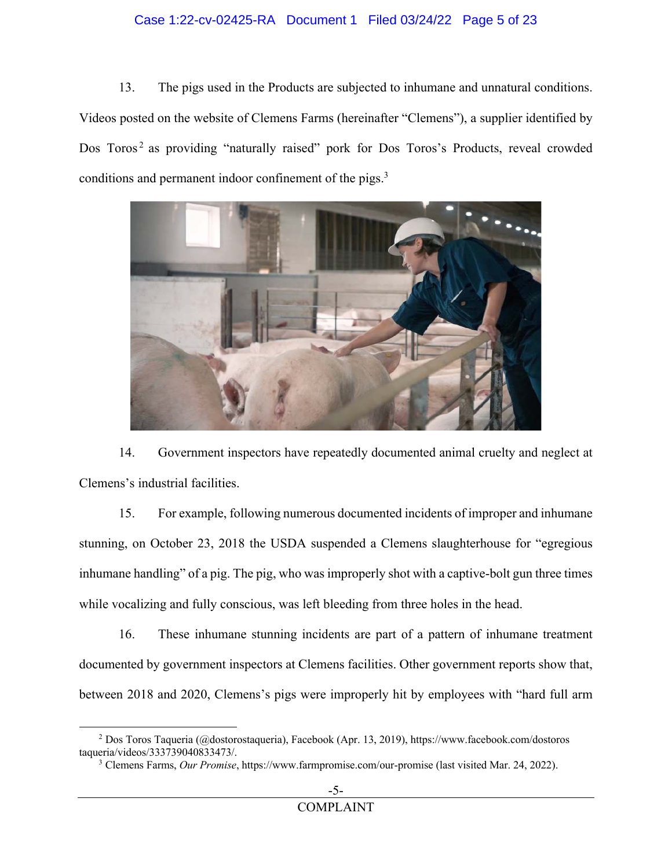### Case 1:22-cv-02425-RA Document 1 Filed 03/24/22 Page 5 of 23

13. The pigs used in the Products are subjected to inhumane and unnatural conditions. Videos posted on the website of Clemens Farms (hereinafter "Clemens"), a supplier identified by Dos Toros<sup>2</sup> as providing "naturally raised" pork for Dos Toros's Products, reveal crowded conditions and permanent indoor confinement of the pigs.<sup>3</sup>



14. Government inspectors have repeatedly documented animal cruelty and neglect at Clemens's industrial facilities.

15. For example, following numerous documented incidents of improper and inhumane stunning, on October 23, 2018 the USDA suspended a Clemens slaughterhouse for "egregious inhumane handling" of a pig. The pig, who was improperly shot with a captive-bolt gun three times while vocalizing and fully conscious, was left bleeding from three holes in the head.

16. These inhumane stunning incidents are part of a pattern of inhumane treatment documented by government inspectors at Clemens facilities. Other government reports show that, between 2018 and 2020, Clemens's pigs were improperly hit by employees with "hard full arm

<sup>&</sup>lt;sup>2</sup> Dos Toros Taqueria (@dostorostaqueria), Facebook (Apr. 13, 2019), https://www.facebook.com/dostoros taqueria/videos/333739040833473/.

<sup>3</sup> Clemens Farms, *Our Promise*, https://www.farmpromise.com/our-promise (last visited Mar. 24, 2022).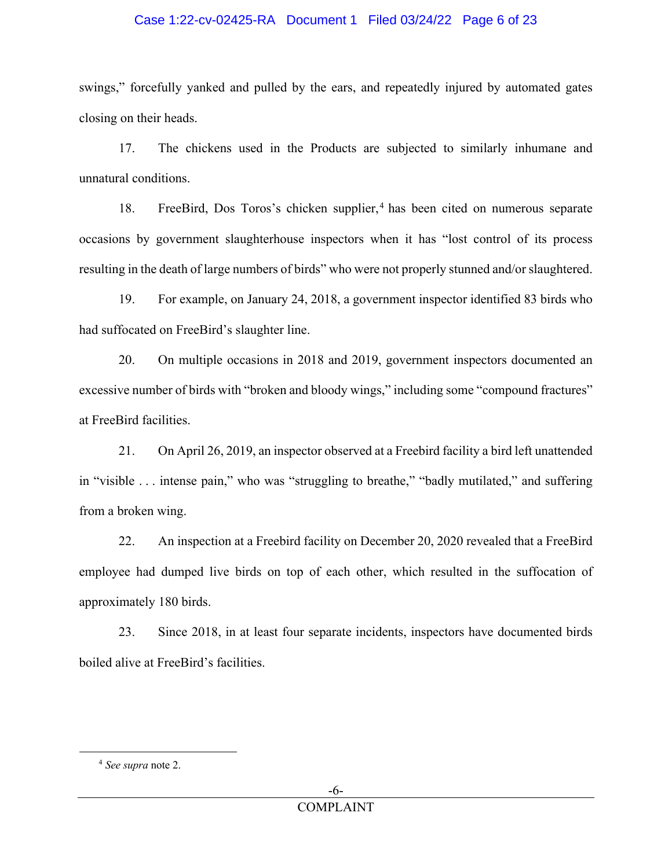#### Case 1:22-cv-02425-RA Document 1 Filed 03/24/22 Page 6 of 23

swings," forcefully yanked and pulled by the ears, and repeatedly injured by automated gates closing on their heads.

17. The chickens used in the Products are subjected to similarly inhumane and unnatural conditions.

18. FreeBird, Dos Toros's chicken supplier,<sup>4</sup> has been cited on numerous separate occasions by government slaughterhouse inspectors when it has "lost control of its process resulting in the death of large numbers of birds" who were not properly stunned and/or slaughtered.

19. For example, on January 24, 2018, a government inspector identified 83 birds who had suffocated on FreeBird's slaughter line.

20. On multiple occasions in 2018 and 2019, government inspectors documented an excessive number of birds with "broken and bloody wings," including some "compound fractures" at FreeBird facilities.

21. On April 26, 2019, an inspector observed at a Freebird facility a bird left unattended in "visible . . . intense pain," who was "struggling to breathe," "badly mutilated," and suffering from a broken wing.

22. An inspection at a Freebird facility on December 20, 2020 revealed that a FreeBird employee had dumped live birds on top of each other, which resulted in the suffocation of approximately 180 birds.

23. Since 2018, in at least four separate incidents, inspectors have documented birds boiled alive at FreeBird's facilities.

<sup>4</sup> *See supra* note 2.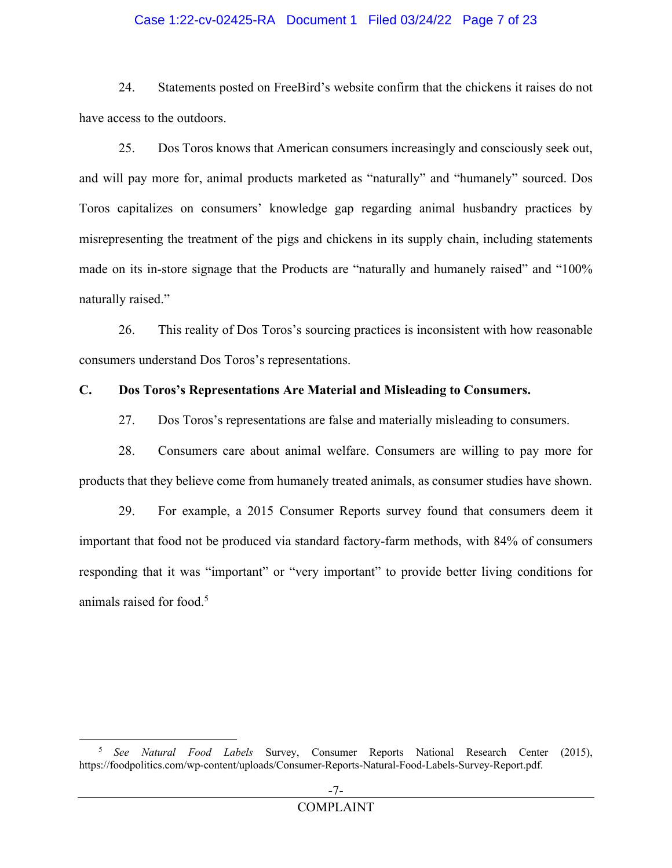#### Case 1:22-cv-02425-RA Document 1 Filed 03/24/22 Page 7 of 23

24. Statements posted on FreeBird's website confirm that the chickens it raises do not have access to the outdoors.

25. Dos Toros knows that American consumers increasingly and consciously seek out, and will pay more for, animal products marketed as "naturally" and "humanely" sourced. Dos Toros capitalizes on consumers' knowledge gap regarding animal husbandry practices by misrepresenting the treatment of the pigs and chickens in its supply chain, including statements made on its in-store signage that the Products are "naturally and humanely raised" and "100% naturally raised."

26. This reality of Dos Toros's sourcing practices is inconsistent with how reasonable consumers understand Dos Toros's representations.

### **C. Dos Toros's Representations Are Material and Misleading to Consumers.**

27. Dos Toros's representations are false and materially misleading to consumers.

28. Consumers care about animal welfare. Consumers are willing to pay more for products that they believe come from humanely treated animals, as consumer studies have shown.

29. For example, a 2015 Consumer Reports survey found that consumers deem it important that food not be produced via standard factory-farm methods, with 84% of consumers responding that it was "important" or "very important" to provide better living conditions for animals raised for food.<sup>5</sup>

<sup>5</sup> *See Natural Food Labels* Survey, Consumer Reports National Research Center (2015), https://foodpolitics.com/wp-content/uploads/Consumer-Reports-Natural-Food-Labels-Survey-Report.pdf.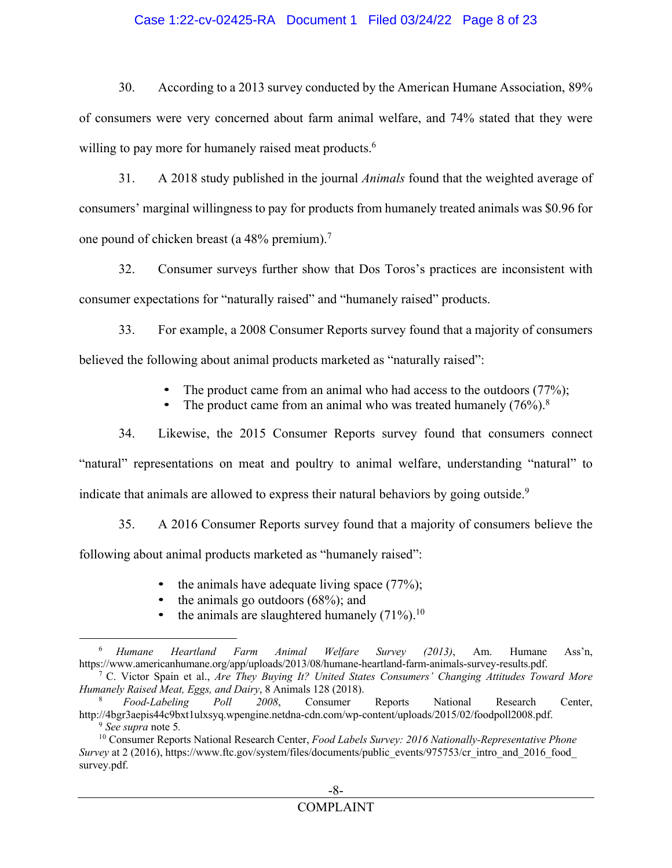#### Case 1:22-cv-02425-RA Document 1 Filed 03/24/22 Page 8 of 23

30. According to a 2013 survey conducted by the American Humane Association, 89% of consumers were very concerned about farm animal welfare, and 74% stated that they were willing to pay more for humanely raised meat products.<sup>6</sup>

31. A 2018 study published in the journal *Animals* found that the weighted average of consumers' marginal willingness to pay for products from humanely treated animals was \$0.96 for one pound of chicken breast (a 48% premium).<sup>7</sup>

32. Consumer surveys further show that Dos Toros's practices are inconsistent with consumer expectations for "naturally raised" and "humanely raised" products.

33. For example, a 2008 Consumer Reports survey found that a majority of consumers believed the following about animal products marketed as "naturally raised":

• The product came from an animal who had access to the outdoors (77%);

The product came from an animal who was treated humanely  $(76%)$ .<sup>8</sup>

34. Likewise, the 2015 Consumer Reports survey found that consumers connect "natural" representations on meat and poultry to animal welfare, understanding "natural" to indicate that animals are allowed to express their natural behaviors by going outside.<sup>9</sup>

35. A 2016 Consumer Reports survey found that a majority of consumers believe the following about animal products marketed as "humanely raised":

- the animals have adequate living space  $(77%)$ ;
- the animals go outdoors  $(68\%)$ ; and
- the animals are slaughtered humanely  $(71\%)$ .<sup>10</sup>

<sup>6</sup> *Humane Heartland Farm Animal Welfare Survey (2013)*, Am. Humane Ass'n, https://www.americanhumane.org/app/uploads/2013/08/humane-heartland-farm-animals-survey-results.pdf.

<sup>7</sup> C. Victor Spain et al., *Are They Buying It? United States Consumers' Changing Attitudes Toward More Humanely Raised Meat, Eggs, and Dairy, 8 Animals 128 (2018).*<br><sup>8</sup> *Food-Labeling Poll 2008*, Consumer

<sup>8</sup> *Food-Labeling Poll 2008*, Consumer Reports National Research Center, http://4bgr3aepis44c9bxt1ulxsyq.wpengine.netdna-cdn.com/wp-content/uploads/2015/02/foodpoll2008.pdf. <sup>9</sup> *See supra* note 5*.* 

<sup>10</sup> Consumer Reports National Research Center, *Food Labels Survey: 2016 Nationally-Representative Phone Survey* at 2 (2016), https://www.ftc.gov/system/files/documents/public\_events/975753/cr\_intro\_and\_2016\_food\_ survey.pdf.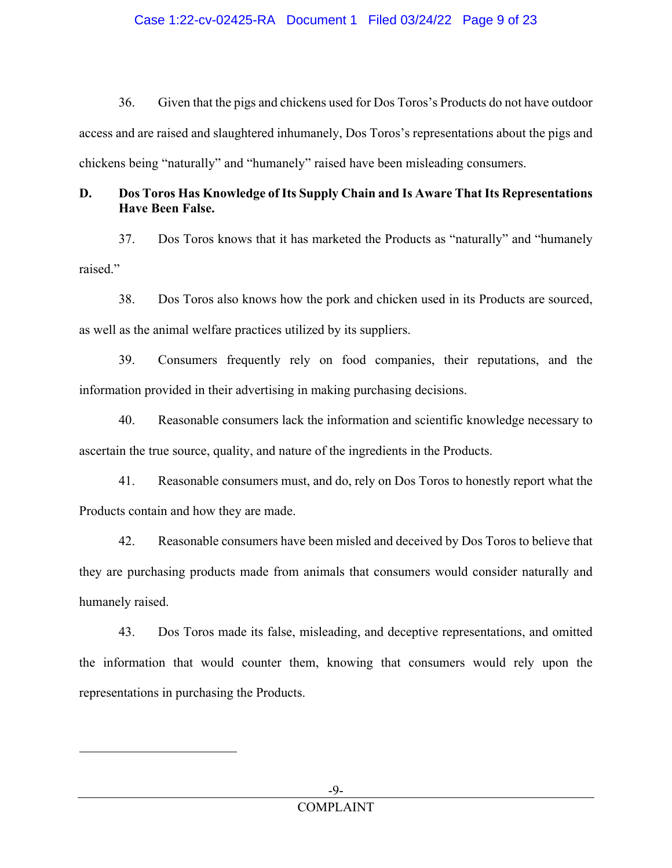#### Case 1:22-cv-02425-RA Document 1 Filed 03/24/22 Page 9 of 23

36. Given that the pigs and chickens used for Dos Toros's Products do not have outdoor access and are raised and slaughtered inhumanely, Dos Toros's representations about the pigs and chickens being "naturally" and "humanely" raised have been misleading consumers.

## **D. Dos Toros Has Knowledge of Its Supply Chain and Is Aware That Its Representations Have Been False.**

37. Dos Toros knows that it has marketed the Products as "naturally" and "humanely raised."

38. Dos Toros also knows how the pork and chicken used in its Products are sourced, as well as the animal welfare practices utilized by its suppliers.

39. Consumers frequently rely on food companies, their reputations, and the information provided in their advertising in making purchasing decisions.

40. Reasonable consumers lack the information and scientific knowledge necessary to ascertain the true source, quality, and nature of the ingredients in the Products.

41. Reasonable consumers must, and do, rely on Dos Toros to honestly report what the Products contain and how they are made.

42. Reasonable consumers have been misled and deceived by Dos Toros to believe that they are purchasing products made from animals that consumers would consider naturally and humanely raised.

43. Dos Toros made its false, misleading, and deceptive representations, and omitted the information that would counter them, knowing that consumers would rely upon the representations in purchasing the Products.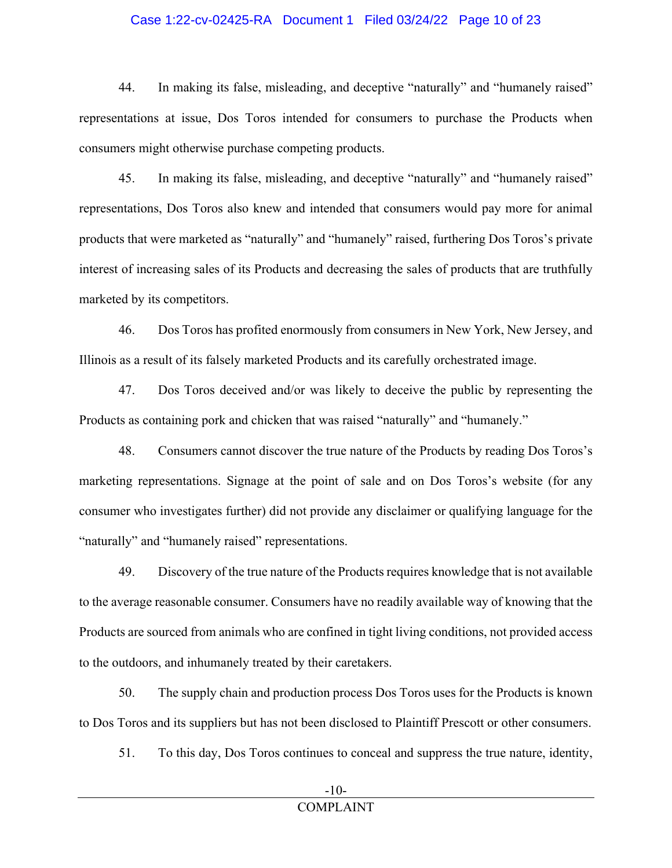#### Case 1:22-cv-02425-RA Document 1 Filed 03/24/22 Page 10 of 23

44. In making its false, misleading, and deceptive "naturally" and "humanely raised" representations at issue, Dos Toros intended for consumers to purchase the Products when consumers might otherwise purchase competing products.

45. In making its false, misleading, and deceptive "naturally" and "humanely raised" representations, Dos Toros also knew and intended that consumers would pay more for animal products that were marketed as "naturally" and "humanely" raised, furthering Dos Toros's private interest of increasing sales of its Products and decreasing the sales of products that are truthfully marketed by its competitors.

46. Dos Toros has profited enormously from consumers in New York, New Jersey, and Illinois as a result of its falsely marketed Products and its carefully orchestrated image.

47. Dos Toros deceived and/or was likely to deceive the public by representing the Products as containing pork and chicken that was raised "naturally" and "humanely."

48. Consumers cannot discover the true nature of the Products by reading Dos Toros's marketing representations. Signage at the point of sale and on Dos Toros's website (for any consumer who investigates further) did not provide any disclaimer or qualifying language for the "naturally" and "humanely raised" representations.

49. Discovery of the true nature of the Products requires knowledge that is not available to the average reasonable consumer. Consumers have no readily available way of knowing that the Products are sourced from animals who are confined in tight living conditions, not provided access to the outdoors, and inhumanely treated by their caretakers.

50. The supply chain and production process Dos Toros uses for the Products is known to Dos Toros and its suppliers but has not been disclosed to Plaintiff Prescott or other consumers.

51. To this day, Dos Toros continues to conceal and suppress the true nature, identity,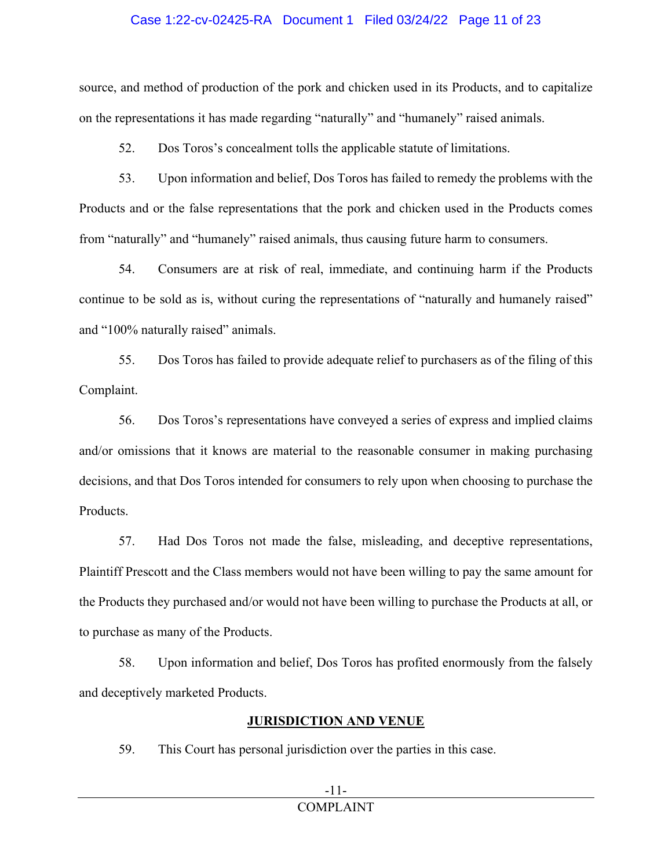#### Case 1:22-cv-02425-RA Document 1 Filed 03/24/22 Page 11 of 23

source, and method of production of the pork and chicken used in its Products, and to capitalize on the representations it has made regarding "naturally" and "humanely" raised animals.

52. Dos Toros's concealment tolls the applicable statute of limitations.

53. Upon information and belief, Dos Toros has failed to remedy the problems with the Products and or the false representations that the pork and chicken used in the Products comes from "naturally" and "humanely" raised animals, thus causing future harm to consumers.

54. Consumers are at risk of real, immediate, and continuing harm if the Products continue to be sold as is, without curing the representations of "naturally and humanely raised" and "100% naturally raised" animals.

55. Dos Toros has failed to provide adequate relief to purchasers as of the filing of this Complaint.

56. Dos Toros's representations have conveyed a series of express and implied claims and/or omissions that it knows are material to the reasonable consumer in making purchasing decisions, and that Dos Toros intended for consumers to rely upon when choosing to purchase the Products.

57. Had Dos Toros not made the false, misleading, and deceptive representations, Plaintiff Prescott and the Class members would not have been willing to pay the same amount for the Products they purchased and/or would not have been willing to purchase the Products at all, or to purchase as many of the Products.

58. Upon information and belief, Dos Toros has profited enormously from the falsely and deceptively marketed Products.

## **JURISDICTION AND VENUE**

59. This Court has personal jurisdiction over the parties in this case.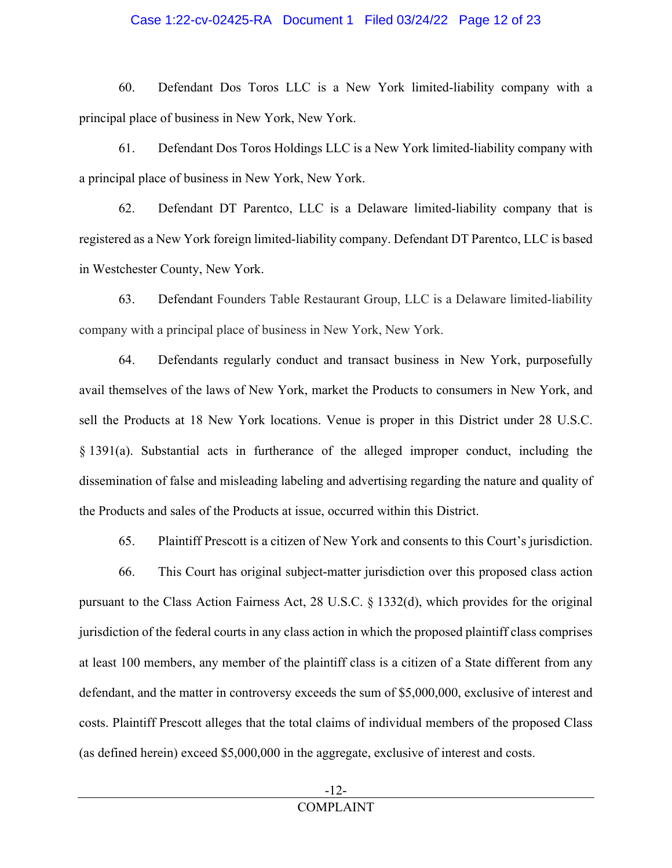#### Case 1:22-cv-02425-RA Document 1 Filed 03/24/22 Page 12 of 23

60. Defendant Dos Toros LLC is a New York limited-liability company with a principal place of business in New York, New York.

61. Defendant Dos Toros Holdings LLC is a New York limited-liability company with a principal place of business in New York, New York.

62. Defendant DT Parentco, LLC is a Delaware limited-liability company that is registered as a New York foreign limited-liability company. Defendant DT Parentco, LLC is based in Westchester County, New York.

63. Defendant Founders Table Restaurant Group, LLC is a Delaware limited-liability company with a principal place of business in New York, New York.

64. Defendants regularly conduct and transact business in New York, purposefully avail themselves of the laws of New York, market the Products to consumers in New York, and sell the Products at 18 New York locations. Venue is proper in this District under 28 U.S.C. § 1391(a). Substantial acts in furtherance of the alleged improper conduct, including the dissemination of false and misleading labeling and advertising regarding the nature and quality of the Products and sales of the Products at issue, occurred within this District.

65. Plaintiff Prescott is a citizen of New York and consents to this Court's jurisdiction.

66. This Court has original subject-matter jurisdiction over this proposed class action pursuant to the Class Action Fairness Act, 28 U.S.C. § 1332(d), which provides for the original jurisdiction of the federal courts in any class action in which the proposed plaintiff class comprises at least 100 members, any member of the plaintiff class is a citizen of a State different from any defendant, and the matter in controversy exceeds the sum of \$5,000,000, exclusive of interest and costs. Plaintiff Prescott alleges that the total claims of individual members of the proposed Class (as defined herein) exceed \$5,000,000 in the aggregate, exclusive of interest and costs.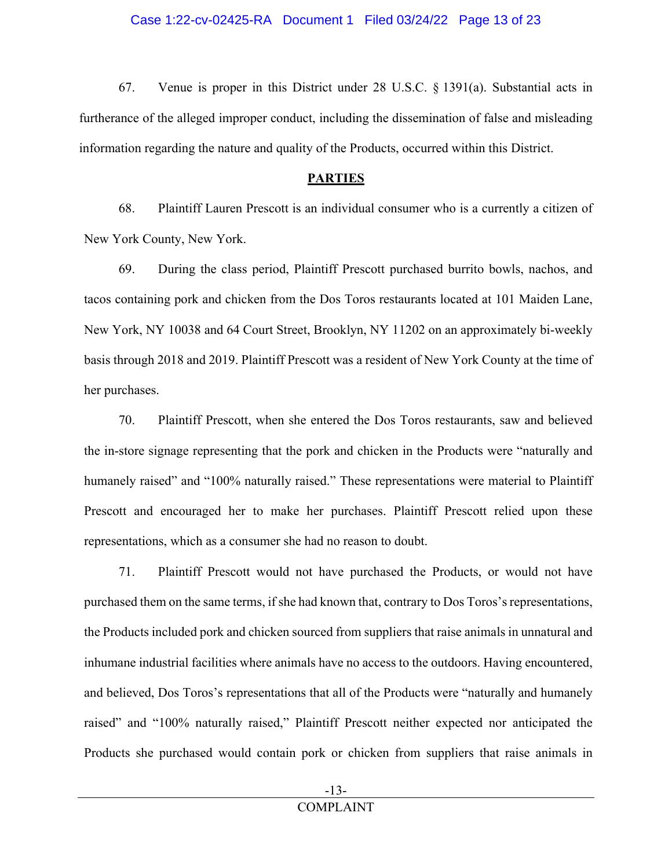67. Venue is proper in this District under 28 U.S.C. § 1391(a). Substantial acts in furtherance of the alleged improper conduct, including the dissemination of false and misleading information regarding the nature and quality of the Products, occurred within this District.

### **PARTIES**

68. Plaintiff Lauren Prescott is an individual consumer who is a currently a citizen of New York County, New York.

69. During the class period, Plaintiff Prescott purchased burrito bowls, nachos, and tacos containing pork and chicken from the Dos Toros restaurants located at 101 Maiden Lane, New York, NY 10038 and 64 Court Street, Brooklyn, NY 11202 on an approximately bi-weekly basis through 2018 and 2019. Plaintiff Prescott was a resident of New York County at the time of her purchases.

70. Plaintiff Prescott, when she entered the Dos Toros restaurants, saw and believed the in-store signage representing that the pork and chicken in the Products were "naturally and humanely raised" and "100% naturally raised." These representations were material to Plaintiff Prescott and encouraged her to make her purchases. Plaintiff Prescott relied upon these representations, which as a consumer she had no reason to doubt.

71. Plaintiff Prescott would not have purchased the Products, or would not have purchased them on the same terms, if she had known that, contrary to Dos Toros's representations, the Products included pork and chicken sourced from suppliers that raise animals in unnatural and inhumane industrial facilities where animals have no access to the outdoors. Having encountered, and believed, Dos Toros's representations that all of the Products were "naturally and humanely raised" and "100% naturally raised," Plaintiff Prescott neither expected nor anticipated the Products she purchased would contain pork or chicken from suppliers that raise animals in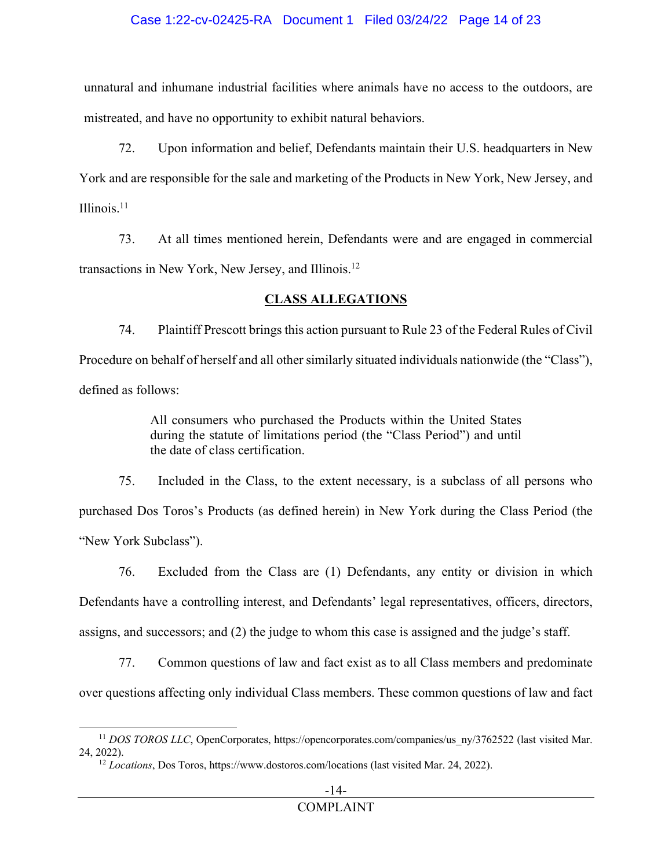### Case 1:22-cv-02425-RA Document 1 Filed 03/24/22 Page 14 of 23

unnatural and inhumane industrial facilities where animals have no access to the outdoors, are mistreated, and have no opportunity to exhibit natural behaviors.

72. Upon information and belief, Defendants maintain their U.S. headquarters in New York and are responsible for the sale and marketing of the Products in New York, New Jersey, and Illinois. $11$ 

73. At all times mentioned herein, Defendants were and are engaged in commercial transactions in New York, New Jersey, and Illinois.<sup>12</sup>

## **CLASS ALLEGATIONS**

74. Plaintiff Prescott brings this action pursuant to Rule 23 of the Federal Rules of Civil Procedure on behalf of herself and all other similarly situated individuals nationwide (the "Class"), defined as follows:

> All consumers who purchased the Products within the United States during the statute of limitations period (the "Class Period") and until the date of class certification.

75. Included in the Class, to the extent necessary, is a subclass of all persons who purchased Dos Toros's Products (as defined herein) in New York during the Class Period (the "New York Subclass").

76. Excluded from the Class are (1) Defendants, any entity or division in which Defendants have a controlling interest, and Defendants' legal representatives, officers, directors, assigns, and successors; and (2) the judge to whom this case is assigned and the judge's staff.

77. Common questions of law and fact exist as to all Class members and predominate over questions affecting only individual Class members. These common questions of law and fact

<sup>&</sup>lt;sup>11</sup> *DOS TOROS LLC*, OpenCorporates, https://opencorporates.com/companies/us\_ny/3762522 (last visited Mar. 24, 2022).

<sup>12</sup> *Locations*, Dos Toros, https://www.dostoros.com/locations (last visited Mar. 24, 2022).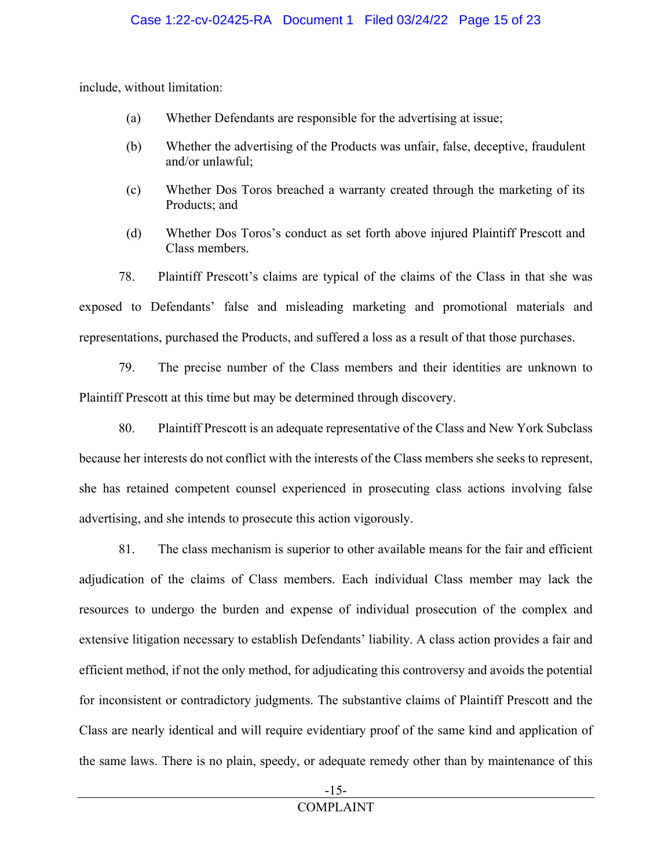include, without limitation:

- (a) Whether Defendants are responsible for the advertising at issue;
- (b) Whether the advertising of the Products was unfair, false, deceptive, fraudulent and/or unlawful;
- (c) Whether Dos Toros breached a warranty created through the marketing of its Products; and
- (d) Whether Dos Toros's conduct as set forth above injured Plaintiff Prescott and Class members.

78. Plaintiff Prescott's claims are typical of the claims of the Class in that she was exposed to Defendants' false and misleading marketing and promotional materials and representations, purchased the Products, and suffered a loss as a result of that those purchases.

79. The precise number of the Class members and their identities are unknown to Plaintiff Prescott at this time but may be determined through discovery.

80. Plaintiff Prescott is an adequate representative of the Class and New York Subclass because her interests do not conflict with the interests of the Class members she seeks to represent, she has retained competent counsel experienced in prosecuting class actions involving false advertising, and she intends to prosecute this action vigorously.

81. The class mechanism is superior to other available means for the fair and efficient adjudication of the claims of Class members. Each individual Class member may lack the resources to undergo the burden and expense of individual prosecution of the complex and extensive litigation necessary to establish Defendants' liability. A class action provides a fair and efficient method, if not the only method, for adjudicating this controversy and avoids the potential for inconsistent or contradictory judgments. The substantive claims of Plaintiff Prescott and the Class are nearly identical and will require evidentiary proof of the same kind and application of the same laws. There is no plain, speedy, or adequate remedy other than by maintenance of this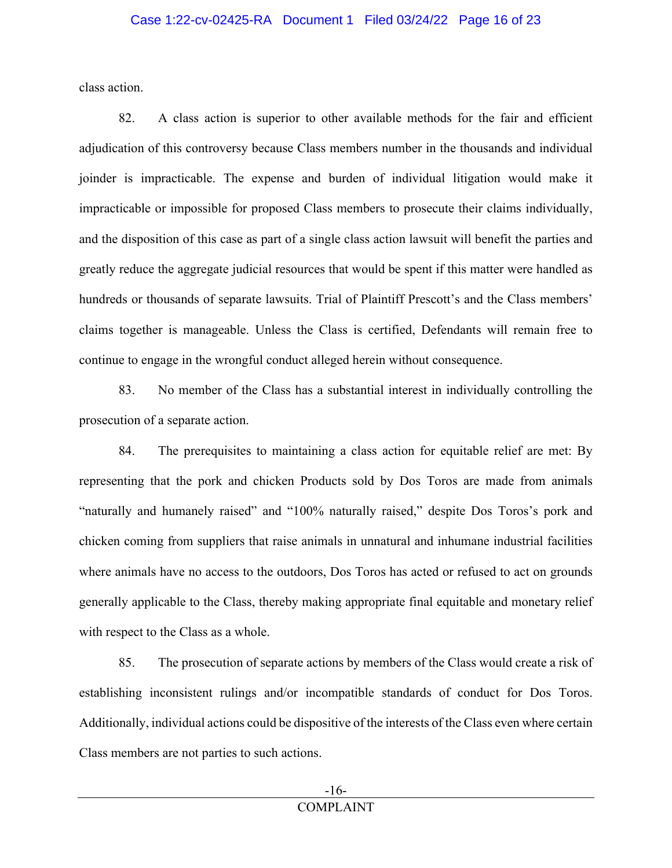class action.

82. A class action is superior to other available methods for the fair and efficient adjudication of this controversy because Class members number in the thousands and individual joinder is impracticable. The expense and burden of individual litigation would make it impracticable or impossible for proposed Class members to prosecute their claims individually, and the disposition of this case as part of a single class action lawsuit will benefit the parties and greatly reduce the aggregate judicial resources that would be spent if this matter were handled as hundreds or thousands of separate lawsuits. Trial of Plaintiff Prescott's and the Class members' claims together is manageable. Unless the Class is certified, Defendants will remain free to continue to engage in the wrongful conduct alleged herein without consequence.

83. No member of the Class has a substantial interest in individually controlling the prosecution of a separate action.

84. The prerequisites to maintaining a class action for equitable relief are met: By representing that the pork and chicken Products sold by Dos Toros are made from animals "naturally and humanely raised" and "100% naturally raised," despite Dos Toros's pork and chicken coming from suppliers that raise animals in unnatural and inhumane industrial facilities where animals have no access to the outdoors, Dos Toros has acted or refused to act on grounds generally applicable to the Class, thereby making appropriate final equitable and monetary relief with respect to the Class as a whole.

85. The prosecution of separate actions by members of the Class would create a risk of establishing inconsistent rulings and/or incompatible standards of conduct for Dos Toros. Additionally, individual actions could be dispositive of the interests of the Class even where certain Class members are not parties to such actions.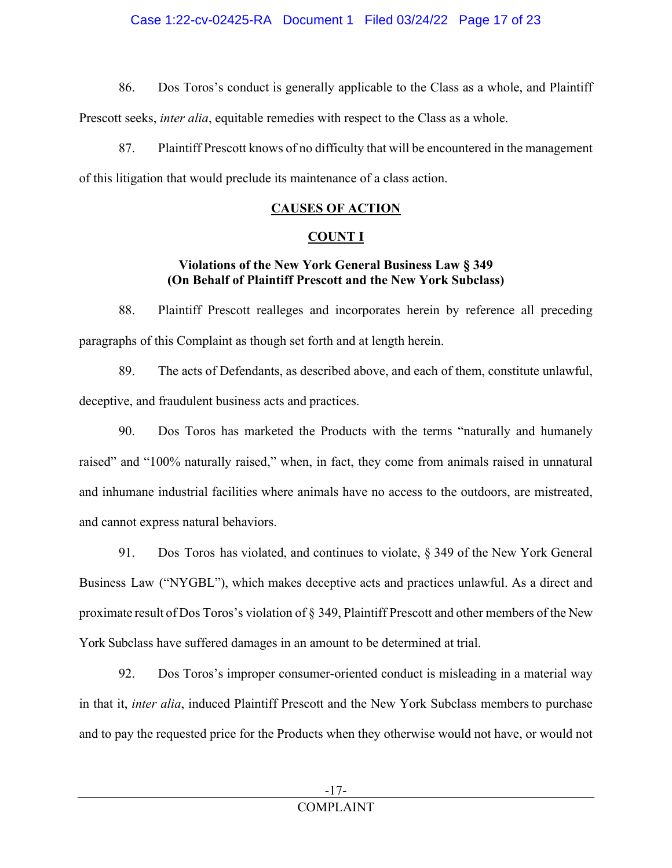86. Dos Toros's conduct is generally applicable to the Class as a whole, and Plaintiff

Prescott seeks, *inter alia*, equitable remedies with respect to the Class as a whole.

87. Plaintiff Prescott knows of no difficulty that will be encountered in the management of this litigation that would preclude its maintenance of a class action.

## **CAUSES OF ACTION**

## **COUNT I**

## **Violations of the New York General Business Law § 349 (On Behalf of Plaintiff Prescott and the New York Subclass)**

88. Plaintiff Prescott realleges and incorporates herein by reference all preceding paragraphs of this Complaint as though set forth and at length herein.

89. The acts of Defendants, as described above, and each of them, constitute unlawful, deceptive, and fraudulent business acts and practices.

90. Dos Toros has marketed the Products with the terms "naturally and humanely raised" and "100% naturally raised," when, in fact, they come from animals raised in unnatural and inhumane industrial facilities where animals have no access to the outdoors, are mistreated, and cannot express natural behaviors.

91. Dos Toros has violated, and continues to violate, § 349 of the New York General Business Law ("NYGBL"), which makes deceptive acts and practices unlawful. As a direct and proximate result of Dos Toros's violation of § 349, Plaintiff Prescott and other members of the New York Subclass have suffered damages in an amount to be determined at trial.

92. Dos Toros's improper consumer-oriented conduct is misleading in a material way in that it, *inter alia*, induced Plaintiff Prescott and the New York Subclass members to purchase and to pay the requested price for the Products when they otherwise would not have, or would not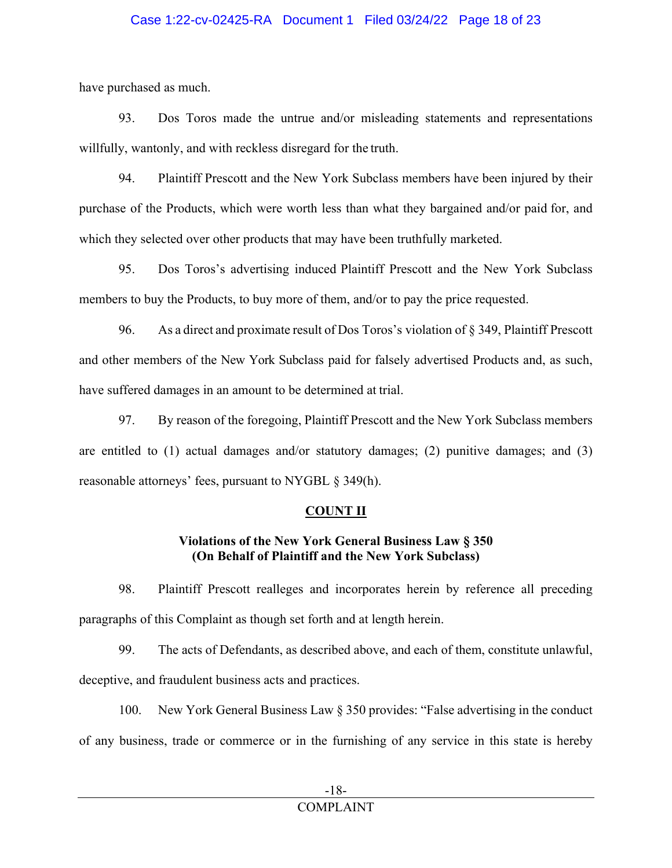### Case 1:22-cv-02425-RA Document 1 Filed 03/24/22 Page 18 of 23

have purchased as much.

93. Dos Toros made the untrue and/or misleading statements and representations willfully, wantonly, and with reckless disregard for the truth.

94. Plaintiff Prescott and the New York Subclass members have been injured by their purchase of the Products, which were worth less than what they bargained and/or paid for, and which they selected over other products that may have been truthfully marketed.

95. Dos Toros's advertising induced Plaintiff Prescott and the New York Subclass members to buy the Products, to buy more of them, and/or to pay the price requested.

96. As a direct and proximate result of Dos Toros's violation of § 349, Plaintiff Prescott and other members of the New York Subclass paid for falsely advertised Products and, as such, have suffered damages in an amount to be determined at trial.

97. By reason of the foregoing, Plaintiff Prescott and the New York Subclass members are entitled to (1) actual damages and/or statutory damages; (2) punitive damages; and (3) reasonable attorneys' fees, pursuant to NYGBL § 349(h).

## **COUNT II**

## **Violations of the New York General Business Law § 350 (On Behalf of Plaintiff and the New York Subclass)**

98. Plaintiff Prescott realleges and incorporates herein by reference all preceding paragraphs of this Complaint as though set forth and at length herein.

99. The acts of Defendants, as described above, and each of them, constitute unlawful, deceptive, and fraudulent business acts and practices.

100. New York General Business Law § 350 provides: "False advertising in the conduct of any business, trade or commerce or in the furnishing of any service in this state is hereby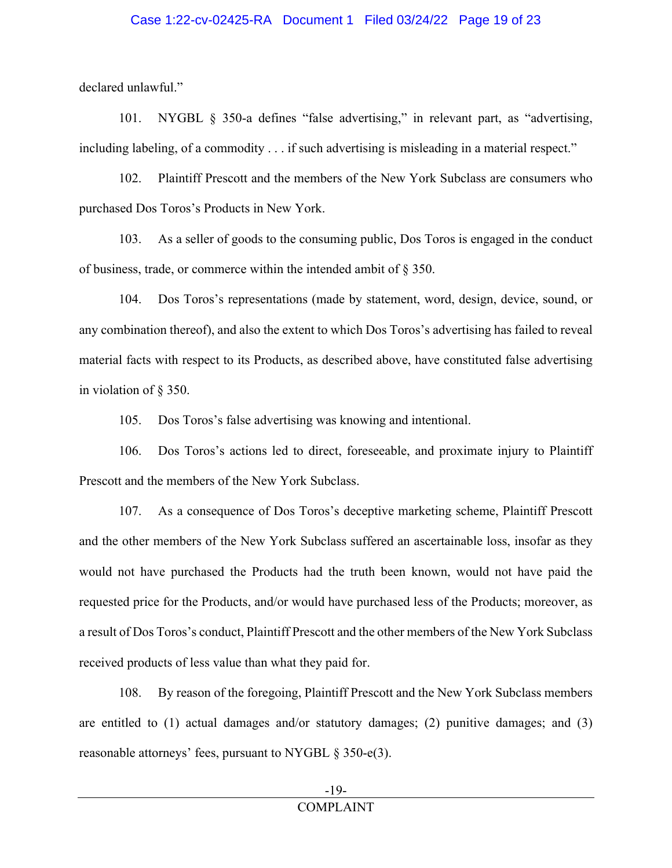#### Case 1:22-cv-02425-RA Document 1 Filed 03/24/22 Page 19 of 23

declared unlawful."

101. NYGBL § 350-a defines "false advertising," in relevant part, as "advertising, including labeling, of a commodity . . . if such advertising is misleading in a material respect."

102. Plaintiff Prescott and the members of the New York Subclass are consumers who purchased Dos Toros's Products in New York.

103. As a seller of goods to the consuming public, Dos Toros is engaged in the conduct of business, trade, or commerce within the intended ambit of § 350.

104. Dos Toros's representations (made by statement, word, design, device, sound, or any combination thereof), and also the extent to which Dos Toros's advertising has failed to reveal material facts with respect to its Products, as described above, have constituted false advertising in violation of § 350.

105. Dos Toros's false advertising was knowing and intentional.

106. Dos Toros's actions led to direct, foreseeable, and proximate injury to Plaintiff Prescott and the members of the New York Subclass.

107. As a consequence of Dos Toros's deceptive marketing scheme, Plaintiff Prescott and the other members of the New York Subclass suffered an ascertainable loss, insofar as they would not have purchased the Products had the truth been known, would not have paid the requested price for the Products, and/or would have purchased less of the Products; moreover, as a result of Dos Toros's conduct, Plaintiff Prescott and the other members of the New York Subclass received products of less value than what they paid for.

108. By reason of the foregoing, Plaintiff Prescott and the New York Subclass members are entitled to (1) actual damages and/or statutory damages; (2) punitive damages; and (3) reasonable attorneys' fees, pursuant to NYGBL § 350-e(3).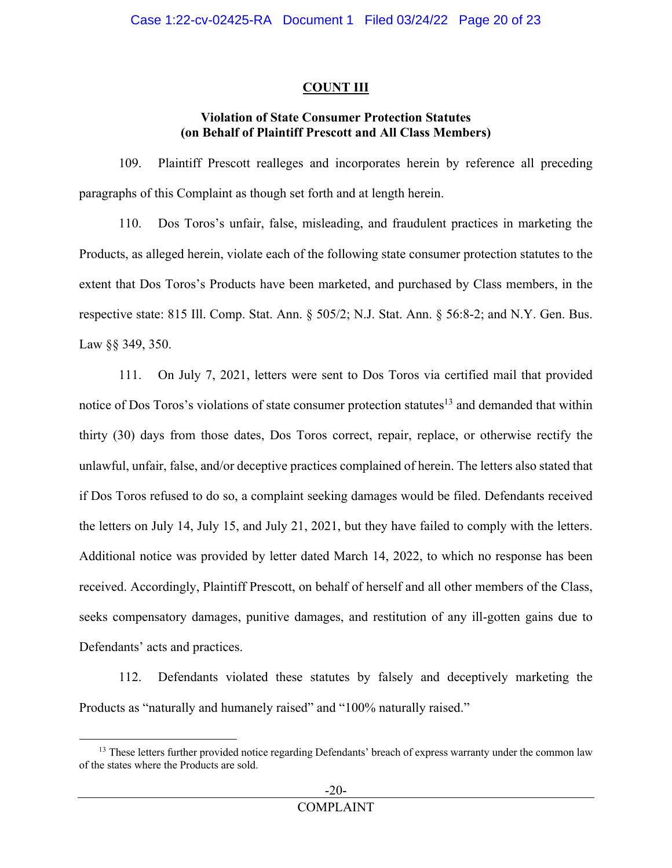## **COUNT III**

## **Violation of State Consumer Protection Statutes (on Behalf of Plaintiff Prescott and All Class Members)**

109. Plaintiff Prescott realleges and incorporates herein by reference all preceding paragraphs of this Complaint as though set forth and at length herein.

110. Dos Toros's unfair, false, misleading, and fraudulent practices in marketing the Products, as alleged herein, violate each of the following state consumer protection statutes to the extent that Dos Toros's Products have been marketed, and purchased by Class members, in the respective state: 815 Ill. Comp. Stat. Ann. § 505/2; N.J. Stat. Ann. § 56:8-2; and N.Y. Gen. Bus. Law §§ 349, 350.

111. On July 7, 2021, letters were sent to Dos Toros via certified mail that provided notice of Dos Toros's violations of state consumer protection statutes<sup>13</sup> and demanded that within thirty (30) days from those dates, Dos Toros correct, repair, replace, or otherwise rectify the unlawful, unfair, false, and/or deceptive practices complained of herein. The letters also stated that if Dos Toros refused to do so, a complaint seeking damages would be filed. Defendants received the letters on July 14, July 15, and July 21, 2021, but they have failed to comply with the letters. Additional notice was provided by letter dated March 14, 2022, to which no response has been received. Accordingly, Plaintiff Prescott, on behalf of herself and all other members of the Class, seeks compensatory damages, punitive damages, and restitution of any ill-gotten gains due to Defendants' acts and practices.

112. Defendants violated these statutes by falsely and deceptively marketing the Products as "naturally and humanely raised" and "100% naturally raised."

<sup>&</sup>lt;sup>13</sup> These letters further provided notice regarding Defendants' breach of express warranty under the common law of the states where the Products are sold.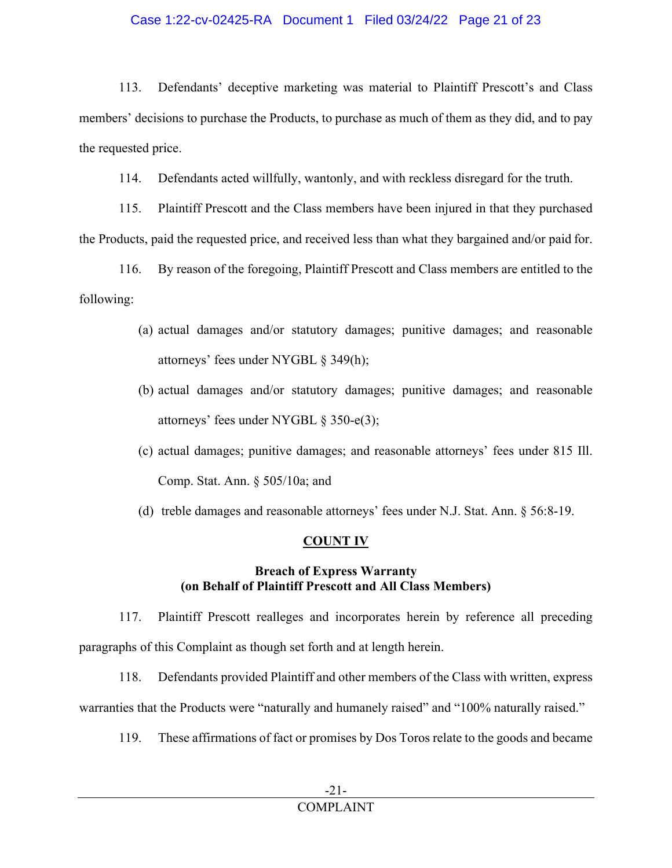## Case 1:22-cv-02425-RA Document 1 Filed 03/24/22 Page 21 of 23

113. Defendants' deceptive marketing was material to Plaintiff Prescott's and Class members' decisions to purchase the Products, to purchase as much of them as they did, and to pay the requested price.

114. Defendants acted willfully, wantonly, and with reckless disregard for the truth.

115. Plaintiff Prescott and the Class members have been injured in that they purchased the Products, paid the requested price, and received less than what they bargained and/or paid for.

116. By reason of the foregoing, Plaintiff Prescott and Class members are entitled to the following:

- (a) actual damages and/or statutory damages; punitive damages; and reasonable attorneys' fees under NYGBL § 349(h);
- (b) actual damages and/or statutory damages; punitive damages; and reasonable attorneys' fees under NYGBL § 350-e(3);
- (c) actual damages; punitive damages; and reasonable attorneys' fees under 815 Ill. Comp. Stat. Ann. § 505/10a; and
- (d) treble damages and reasonable attorneys' fees under N.J. Stat. Ann. § 56:8-19.

## **COUNT IV**

## **Breach of Express Warranty (on Behalf of Plaintiff Prescott and All Class Members)**

117. Plaintiff Prescott realleges and incorporates herein by reference all preceding paragraphs of this Complaint as though set forth and at length herein.

118. Defendants provided Plaintiff and other members of the Class with written, express warranties that the Products were "naturally and humanely raised" and "100% naturally raised."

119. These affirmations of fact or promises by Dos Toros relate to the goods and became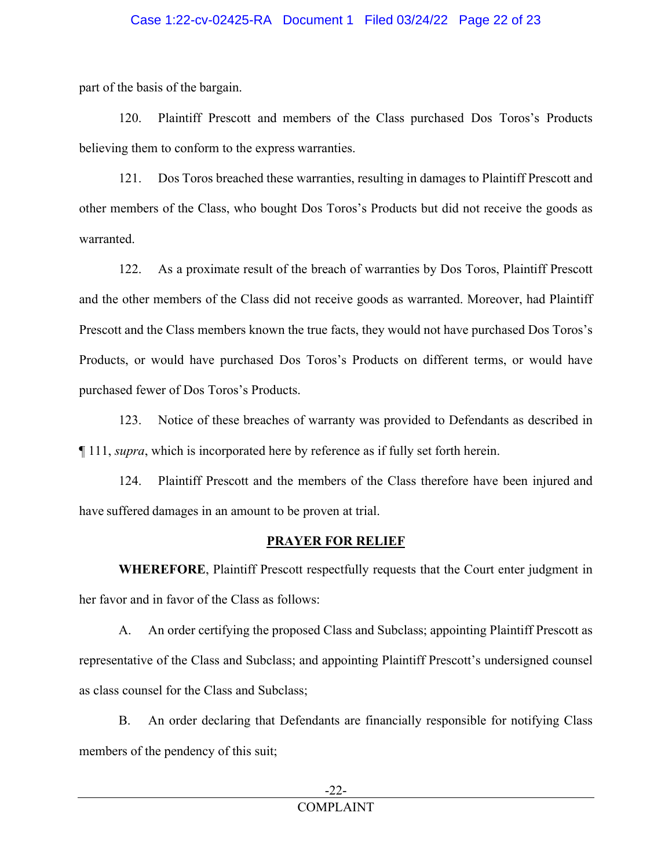### Case 1:22-cv-02425-RA Document 1 Filed 03/24/22 Page 22 of 23

part of the basis of the bargain.

120. Plaintiff Prescott and members of the Class purchased Dos Toros's Products believing them to conform to the express warranties.

121. Dos Toros breached these warranties, resulting in damages to Plaintiff Prescott and other members of the Class, who bought Dos Toros's Products but did not receive the goods as warranted.

122. As a proximate result of the breach of warranties by Dos Toros, Plaintiff Prescott and the other members of the Class did not receive goods as warranted. Moreover, had Plaintiff Prescott and the Class members known the true facts, they would not have purchased Dos Toros's Products, or would have purchased Dos Toros's Products on different terms, or would have purchased fewer of Dos Toros's Products.

123. Notice of these breaches of warranty was provided to Defendants as described in ¶ 111, *supra*, which is incorporated here by reference as if fully set forth herein.

124. Plaintiff Prescott and the members of the Class therefore have been injured and have suffered damages in an amount to be proven at trial.

#### **PRAYER FOR RELIEF**

**WHEREFORE**, Plaintiff Prescott respectfully requests that the Court enter judgment in her favor and in favor of the Class as follows:

A. An order certifying the proposed Class and Subclass; appointing Plaintiff Prescott as representative of the Class and Subclass; and appointing Plaintiff Prescott's undersigned counsel as class counsel for the Class and Subclass;

B. An order declaring that Defendants are financially responsible for notifying Class members of the pendency of this suit;